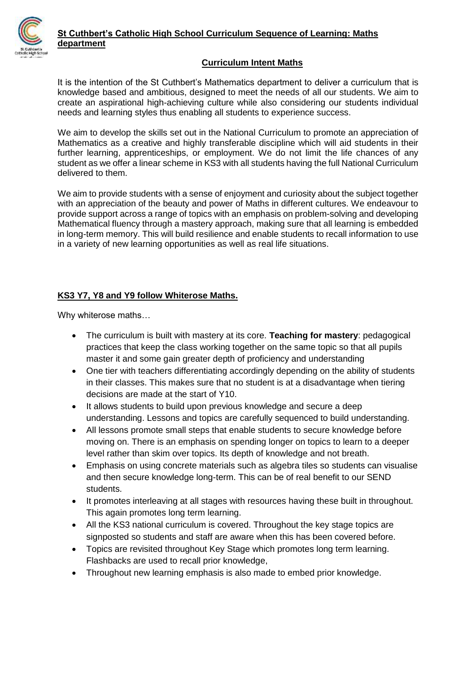

#### **Curriculum Intent Maths**

It is the intention of the St Cuthbert's Mathematics department to deliver a curriculum that is knowledge based and ambitious, designed to meet the needs of all our students. We aim to create an aspirational high-achieving culture while also considering our students individual needs and learning styles thus enabling all students to experience success.

We aim to develop the skills set out in the National Curriculum to promote an appreciation of Mathematics as a creative and highly transferable discipline which will aid students in their further learning, apprenticeships, or employment. We do not limit the life chances of any student as we offer a linear scheme in KS3 with all students having the full National Curriculum delivered to them.

We aim to provide students with a sense of enjoyment and curiosity about the subject together with an appreciation of the beauty and power of Maths in different cultures. We endeavour to provide support across a range of topics with an emphasis on problem-solving and developing Mathematical fluency through a mastery approach, making sure that all learning is embedded in long-term memory. This will build resilience and enable students to recall information to use in a variety of new learning opportunities as well as real life situations.

#### **KS3 Y7, Y8 and Y9 follow Whiterose Maths.**

Why whiterose maths…

- The curriculum is built with mastery at its core. **Teaching for mastery**: pedagogical practices that keep the class working together on the same topic so that all pupils master it and some gain greater depth of proficiency and understanding
- One tier with teachers differentiating accordingly depending on the ability of students in their classes. This makes sure that no student is at a disadvantage when tiering decisions are made at the start of Y10.
- It allows students to build upon previous knowledge and secure a deep understanding. Lessons and topics are carefully sequenced to build understanding.
- All lessons promote small steps that enable students to secure knowledge before moving on. There is an emphasis on spending longer on topics to learn to a deeper level rather than skim over topics. Its depth of knowledge and not breath.
- Emphasis on using concrete materials such as algebra tiles so students can visualise and then secure knowledge long-term. This can be of real benefit to our SEND students.
- It promotes interleaving at all stages with resources having these built in throughout. This again promotes long term learning.
- All the KS3 national curriculum is covered. Throughout the key stage topics are signposted so students and staff are aware when this has been covered before.
- Topics are revisited throughout Key Stage which promotes long term learning. Flashbacks are used to recall prior knowledge,
- Throughout new learning emphasis is also made to embed prior knowledge.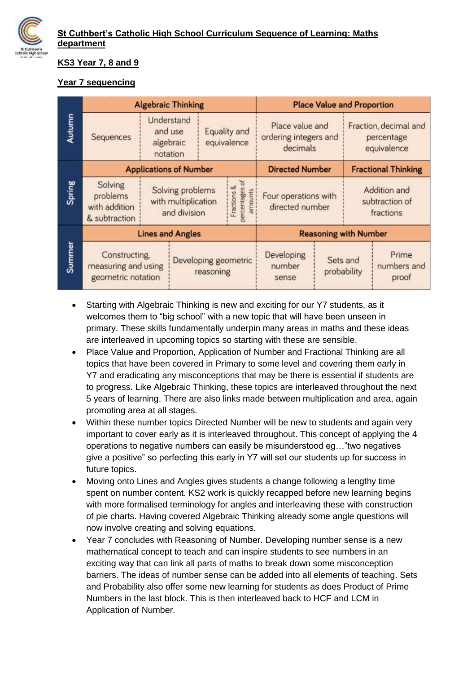

#### **KS3 Year 7, 8 and 9**

### **Year 7 sequencing**

| Autumn | <b>Algebraic Thinking</b>                                  |                                                         |                                                                               |                                   |                                          | <b>Place Value and Proportion</b>                    |                         |                                                    |                               |  |
|--------|------------------------------------------------------------|---------------------------------------------------------|-------------------------------------------------------------------------------|-----------------------------------|------------------------------------------|------------------------------------------------------|-------------------------|----------------------------------------------------|-------------------------------|--|
|        | Sequences                                                  |                                                         | Understand<br>Equality and<br>and use<br>equivalence<br>algebraic<br>notation |                                   |                                          | Place value and<br>ordering integers and<br>decimals |                         | Fraction, decimal and<br>percentage<br>equivalence |                               |  |
| Spring | <b>Applications of Number</b>                              |                                                         |                                                                               |                                   |                                          | <b>Directed Number</b>                               |                         | <b>Fractional Thinking</b>                         |                               |  |
|        | Solving<br>problems<br>with addition<br>& subtraction      | Solving problems<br>with multiplication<br>and division |                                                                               |                                   | percentages of<br>Fractions &<br>amounts | Four operations with<br>directed number              |                         | Addition and<br>subtraction of<br>fractions        |                               |  |
| Summer | <b>Lines and Angles</b>                                    |                                                         |                                                                               |                                   |                                          | <b>Reasoning with Number</b>                         |                         |                                                    |                               |  |
|        | Constructing,<br>measuring and using<br>geometric notation |                                                         |                                                                               | Developing geometric<br>reasoning |                                          | Developing<br>number<br>sense                        | Sets and<br>probability |                                                    | Prime<br>numbers and<br>proof |  |

- Starting with Algebraic Thinking is new and exciting for our Y7 students, as it welcomes them to "big school" with a new topic that will have been unseen in primary. These skills fundamentally underpin many areas in maths and these ideas are interleaved in upcoming topics so starting with these are sensible.
- Place Value and Proportion, Application of Number and Fractional Thinking are all topics that have been covered in Primary to some level and covering them early in Y7 and eradicating any misconceptions that may be there is essential if students are to progress. Like Algebraic Thinking, these topics are interleaved throughout the next 5 years of learning. There are also links made between multiplication and area, again promoting area at all stages.
- Within these number topics Directed Number will be new to students and again very important to cover early as it is interleaved throughout. This concept of applying the 4 operations to negative numbers can easily be misunderstood eg…"two negatives give a positive" so perfecting this early in Y7 will set our students up for success in future topics.
- Moving onto Lines and Angles gives students a change following a lengthy time spent on number content. KS2 work is quickly recapped before new learning begins with more formalised terminology for angles and interleaving these with construction of pie charts. Having covered Algebraic Thinking already some angle questions will now involve creating and solving equations.
- Year 7 concludes with Reasoning of Number. Developing number sense is a new mathematical concept to teach and can inspire students to see numbers in an exciting way that can link all parts of maths to break down some misconception barriers. The ideas of number sense can be added into all elements of teaching. Sets and Probability also offer some new learning for students as does Product of Prime Numbers in the last block. This is then interleaved back to HCF and LCM in Application of Number.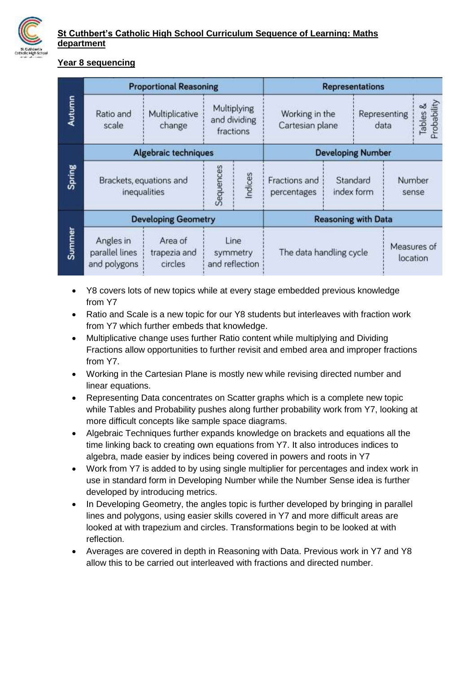

#### **Year 8 sequencing**

|        | <b>Proportional Reasoning</b>               | <b>Representations</b>             |         |                                          |                                   |  |                        |             |                         |
|--------|---------------------------------------------|------------------------------------|---------|------------------------------------------|-----------------------------------|--|------------------------|-------------|-------------------------|
| Autumn | Ratio and<br>scale                          | Multiplicative<br>change           |         | Multiplying<br>and dividing<br>fractions | Working in the<br>Cartesian plane |  | Representing<br>data   |             | Tables &<br>Probability |
| Spring | <b>Algebraic techniques</b>                 | <b>Developing Number</b>           |         |                                          |                                   |  |                        |             |                         |
|        | Brackets, equations and<br>inequalities     | Sequences                          | Indices | Fractions and<br>percentages             | Standard<br>index form            |  | <b>Number</b><br>sense |             |                         |
| Summer | <b>Developing Geometry</b>                  | <b>Reasoning with Data</b>         |         |                                          |                                   |  |                        |             |                         |
|        | Angles in<br>parallel lines<br>and polygons | Line<br>symmetry<br>and reflection |         | The data handling cycle                  |                                   |  | location               | Measures of |                         |

- Y8 covers lots of new topics while at every stage embedded previous knowledge from Y7
- Ratio and Scale is a new topic for our Y8 students but interleaves with fraction work from Y7 which further embeds that knowledge.
- Multiplicative change uses further Ratio content while multiplying and Dividing Fractions allow opportunities to further revisit and embed area and improper fractions from Y7.
- Working in the Cartesian Plane is mostly new while revising directed number and linear equations.
- Representing Data concentrates on Scatter graphs which is a complete new topic while Tables and Probability pushes along further probability work from Y7, looking at more difficult concepts like sample space diagrams.
- Algebraic Techniques further expands knowledge on brackets and equations all the time linking back to creating own equations from Y7. It also introduces indices to algebra, made easier by indices being covered in powers and roots in Y7
- Work from Y7 is added to by using single multiplier for percentages and index work in use in standard form in Developing Number while the Number Sense idea is further developed by introducing metrics.
- In Developing Geometry, the angles topic is further developed by bringing in parallel lines and polygons, using easier skills covered in Y7 and more difficult areas are looked at with trapezium and circles. Transformations begin to be looked at with reflection.
- Averages are covered in depth in Reasoning with Data. Previous work in Y7 and Y8 allow this to be carried out interleaved with fractions and directed number.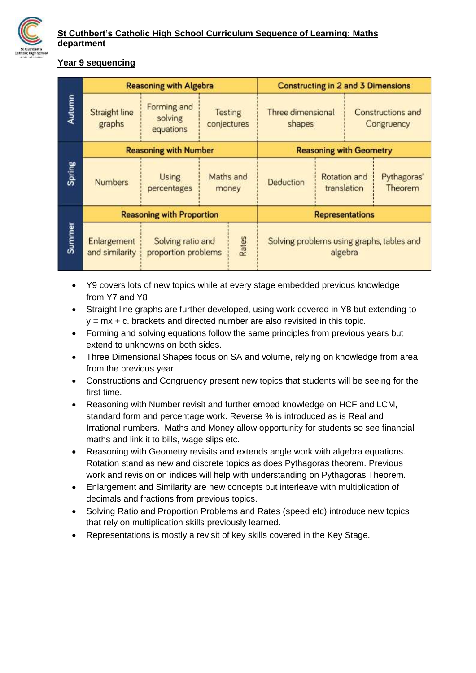

#### **Year 9 sequencing**

| Autumn | <b>Reasoning with Algebra</b>                                  | <b>Constructing in 2 and 3 Dimensions</b>         |                               |       |                             |                                                      |                                 |                        |  |
|--------|----------------------------------------------------------------|---------------------------------------------------|-------------------------------|-------|-----------------------------|------------------------------------------------------|---------------------------------|------------------------|--|
|        | Forming and<br>Straight line<br>solving<br>graphs<br>equations |                                                   | <b>Testing</b><br>conjectures |       | Three dimensional<br>shapes |                                                      | Constructions and<br>Congruency |                        |  |
| Spring | <b>Reasoning with Number</b>                                   | <b>Reasoning with Geometry</b>                    |                               |       |                             |                                                      |                                 |                        |  |
|        | <b>Numbers</b>                                                 | <b>Using</b><br>percentages                       | Maths and                     | money | Deduction                   | Rotation and<br>translation                          |                                 | Pythagoras'<br>Theorem |  |
| Summer | <b>Reasoning with Proportion</b>                               | <b>Representations</b>                            |                               |       |                             |                                                      |                                 |                        |  |
|        | Enlargement<br>and similarity                                  | Rates<br>Solving ratio and<br>proportion problems |                               |       |                             | Solving problems using graphs, tables and<br>algebra |                                 |                        |  |

- Y9 covers lots of new topics while at every stage embedded previous knowledge from Y7 and Y8
- Straight line graphs are further developed, using work covered in Y8 but extending to  $y = mx + c$ . brackets and directed number are also revisited in this topic.
- Forming and solving equations follow the same principles from previous years but extend to unknowns on both sides.
- Three Dimensional Shapes focus on SA and volume, relying on knowledge from area from the previous year.
- Constructions and Congruency present new topics that students will be seeing for the first time.
- Reasoning with Number revisit and further embed knowledge on HCF and LCM, standard form and percentage work. Reverse % is introduced as is Real and Irrational numbers. Maths and Money allow opportunity for students so see financial maths and link it to bills, wage slips etc.
- Reasoning with Geometry revisits and extends angle work with algebra equations. Rotation stand as new and discrete topics as does Pythagoras theorem. Previous work and revision on indices will help with understanding on Pythagoras Theorem.
- Enlargement and Similarity are new concepts but interleave with multiplication of decimals and fractions from previous topics.
- Solving Ratio and Proportion Problems and Rates (speed etc) introduce new topics that rely on multiplication skills previously learned.
- Representations is mostly a revisit of key skills covered in the Key Stage.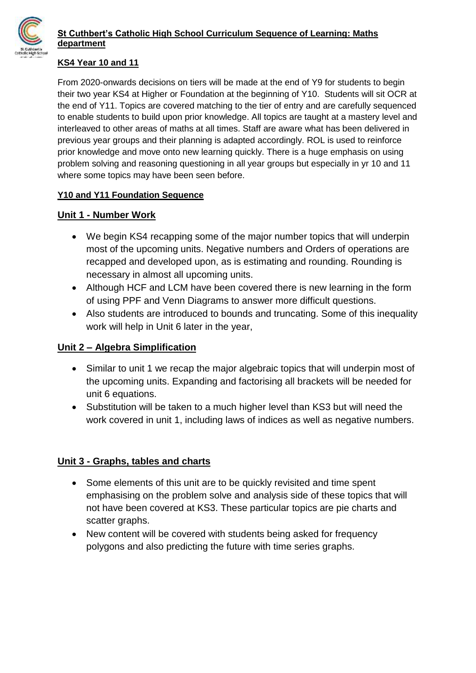

#### **KS4 Year 10 and 11**

From 2020-onwards decisions on tiers will be made at the end of Y9 for students to begin their two year KS4 at Higher or Foundation at the beginning of Y10. Students will sit OCR at the end of Y11. Topics are covered matching to the tier of entry and are carefully sequenced to enable students to build upon prior knowledge. All topics are taught at a mastery level and interleaved to other areas of maths at all times. Staff are aware what has been delivered in previous year groups and their planning is adapted accordingly. ROL is used to reinforce prior knowledge and move onto new learning quickly. There is a huge emphasis on using problem solving and reasoning questioning in all year groups but especially in yr 10 and 11 where some topics may have been seen before.

### **Y10 and Y11 Foundation Sequence**

### **Unit 1 - Number Work**

- We begin KS4 recapping some of the major number topics that will underpin most of the upcoming units. Negative numbers and Orders of operations are recapped and developed upon, as is estimating and rounding. Rounding is necessary in almost all upcoming units.
- Although HCF and LCM have been covered there is new learning in the form of using PPF and Venn Diagrams to answer more difficult questions.
- Also students are introduced to bounds and truncating. Some of this inequality work will help in Unit 6 later in the year,

### **Unit 2 – Algebra Simplification**

- Similar to unit 1 we recap the major algebraic topics that will underpin most of the upcoming units. Expanding and factorising all brackets will be needed for unit 6 equations.
- Substitution will be taken to a much higher level than KS3 but will need the work covered in unit 1, including laws of indices as well as negative numbers.

### **Unit 3 - Graphs, tables and charts**

- Some elements of this unit are to be quickly revisited and time spent emphasising on the problem solve and analysis side of these topics that will not have been covered at KS3. These particular topics are pie charts and scatter graphs.
- New content will be covered with students being asked for frequency polygons and also predicting the future with time series graphs.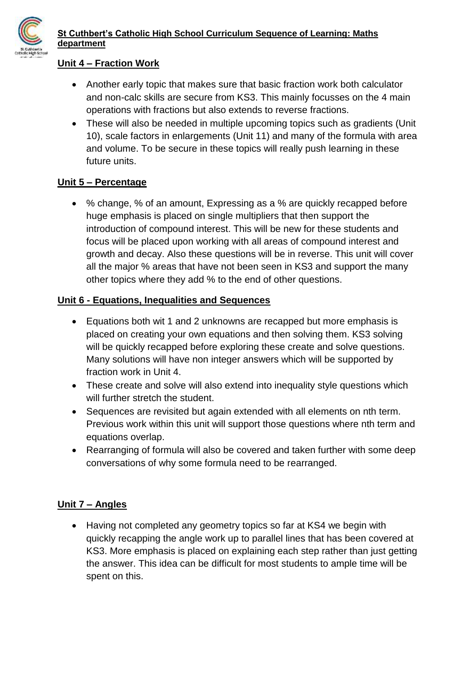

### **Unit 4 – Fraction Work**

- Another early topic that makes sure that basic fraction work both calculator and non-calc skills are secure from KS3. This mainly focusses on the 4 main operations with fractions but also extends to reverse fractions.
- These will also be needed in multiple upcoming topics such as gradients (Unit 10), scale factors in enlargements (Unit 11) and many of the formula with area and volume. To be secure in these topics will really push learning in these future units.

### **Unit 5 – Percentage**

 % change, % of an amount, Expressing as a % are quickly recapped before huge emphasis is placed on single multipliers that then support the introduction of compound interest. This will be new for these students and focus will be placed upon working with all areas of compound interest and growth and decay. Also these questions will be in reverse. This unit will cover all the major % areas that have not been seen in KS3 and support the many other topics where they add % to the end of other questions.

### **Unit 6 - Equations, Inequalities and Sequences**

- Equations both wit 1 and 2 unknowns are recapped but more emphasis is placed on creating your own equations and then solving them. KS3 solving will be quickly recapped before exploring these create and solve questions. Many solutions will have non integer answers which will be supported by fraction work in Unit 4.
- These create and solve will also extend into inequality style questions which will further stretch the student.
- Sequences are revisited but again extended with all elements on nth term. Previous work within this unit will support those questions where nth term and equations overlap.
- Rearranging of formula will also be covered and taken further with some deep conversations of why some formula need to be rearranged.

## **Unit 7 – Angles**

• Having not completed any geometry topics so far at KS4 we begin with quickly recapping the angle work up to parallel lines that has been covered at KS3. More emphasis is placed on explaining each step rather than just getting the answer. This idea can be difficult for most students to ample time will be spent on this.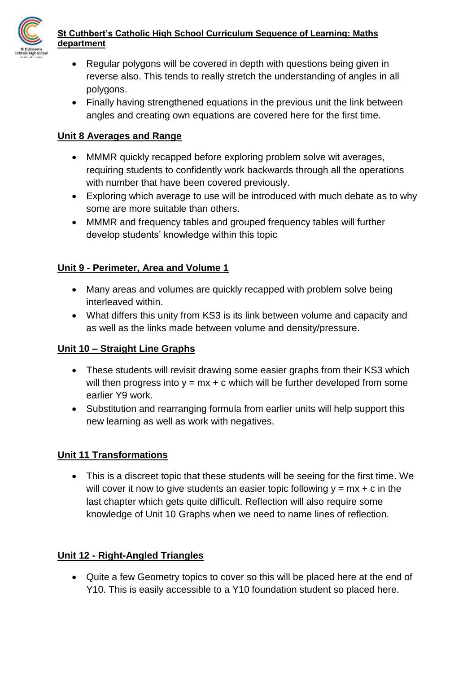

- Regular polygons will be covered in depth with questions being given in reverse also. This tends to really stretch the understanding of angles in all polygons.
- Finally having strengthened equations in the previous unit the link between angles and creating own equations are covered here for the first time.

## **Unit 8 Averages and Range**

- MMMR quickly recapped before exploring problem solve wit averages, requiring students to confidently work backwards through all the operations with number that have been covered previously.
- Exploring which average to use will be introduced with much debate as to why some are more suitable than others.
- MMMR and frequency tables and grouped frequency tables will further develop students' knowledge within this topic

# **Unit 9 - Perimeter, Area and Volume 1**

- Many areas and volumes are quickly recapped with problem solve being interleaved within.
- What differs this unity from KS3 is its link between volume and capacity and as well as the links made between volume and density/pressure.

## **Unit 10 – Straight Line Graphs**

- These students will revisit drawing some easier graphs from their KS3 which will then progress into  $y = mx + c$  which will be further developed from some earlier Y9 work.
- Substitution and rearranging formula from earlier units will help support this new learning as well as work with negatives.

## **Unit 11 Transformations**

 This is a discreet topic that these students will be seeing for the first time. We will cover it now to give students an easier topic following  $y = mx + c$  in the last chapter which gets quite difficult. Reflection will also require some knowledge of Unit 10 Graphs when we need to name lines of reflection.

## **Unit 12 - Right-Angled Triangles**

 Quite a few Geometry topics to cover so this will be placed here at the end of Y10. This is easily accessible to a Y10 foundation student so placed here.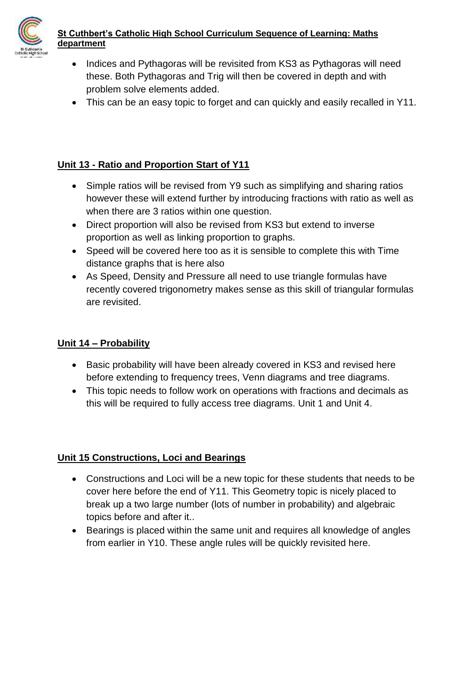

- Indices and Pythagoras will be revisited from KS3 as Pythagoras will need these. Both Pythagoras and Trig will then be covered in depth and with problem solve elements added.
- This can be an easy topic to forget and can quickly and easily recalled in Y11.

# **Unit 13 - Ratio and Proportion Start of Y11**

- Simple ratios will be revised from Y9 such as simplifying and sharing ratios however these will extend further by introducing fractions with ratio as well as when there are 3 ratios within one question.
- Direct proportion will also be revised from KS3 but extend to inverse proportion as well as linking proportion to graphs.
- Speed will be covered here too as it is sensible to complete this with Time distance graphs that is here also
- As Speed, Density and Pressure all need to use triangle formulas have recently covered trigonometry makes sense as this skill of triangular formulas are revisited.

## **Unit 14 – Probability**

- Basic probability will have been already covered in KS3 and revised here before extending to frequency trees, Venn diagrams and tree diagrams.
- This topic needs to follow work on operations with fractions and decimals as this will be required to fully access tree diagrams. Unit 1 and Unit 4.

# **Unit 15 Constructions, Loci and Bearings**

- Constructions and Loci will be a new topic for these students that needs to be cover here before the end of Y11. This Geometry topic is nicely placed to break up a two large number (lots of number in probability) and algebraic topics before and after it..
- Bearings is placed within the same unit and requires all knowledge of angles from earlier in Y10. These angle rules will be quickly revisited here.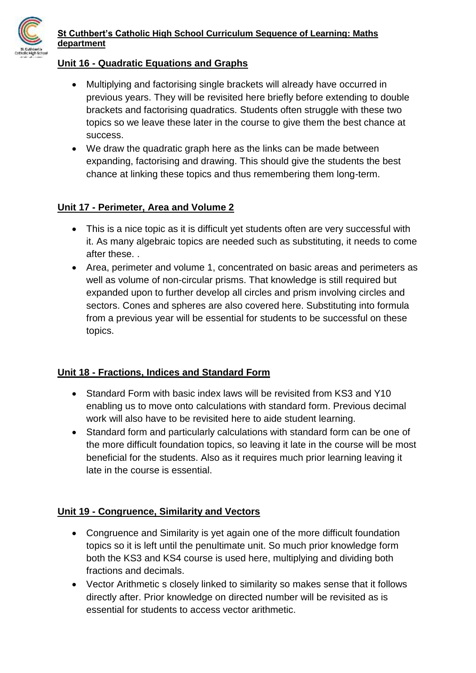

#### **Unit 16 - Quadratic Equations and Graphs**

- Multiplying and factorising single brackets will already have occurred in previous years. They will be revisited here briefly before extending to double brackets and factorising quadratics. Students often struggle with these two topics so we leave these later in the course to give them the best chance at success.
- We draw the quadratic graph here as the links can be made between expanding, factorising and drawing. This should give the students the best chance at linking these topics and thus remembering them long-term.

### **Unit 17 - Perimeter, Area and Volume 2**

- This is a nice topic as it is difficult yet students often are very successful with it. As many algebraic topics are needed such as substituting, it needs to come after these. .
- Area, perimeter and volume 1, concentrated on basic areas and perimeters as well as volume of non-circular prisms. That knowledge is still required but expanded upon to further develop all circles and prism involving circles and sectors. Cones and spheres are also covered here. Substituting into formula from a previous year will be essential for students to be successful on these topics.

### **Unit 18 - Fractions, Indices and Standard Form**

- Standard Form with basic index laws will be revisited from KS3 and Y10 enabling us to move onto calculations with standard form. Previous decimal work will also have to be revisited here to aide student learning.
- Standard form and particularly calculations with standard form can be one of the more difficult foundation topics, so leaving it late in the course will be most beneficial for the students. Also as it requires much prior learning leaving it late in the course is essential.

### **Unit 19 - Congruence, Similarity and Vectors**

- Congruence and Similarity is yet again one of the more difficult foundation topics so it is left until the penultimate unit. So much prior knowledge form both the KS3 and KS4 course is used here, multiplying and dividing both fractions and decimals.
- Vector Arithmetic s closely linked to similarity so makes sense that it follows directly after. Prior knowledge on directed number will be revisited as is essential for students to access vector arithmetic.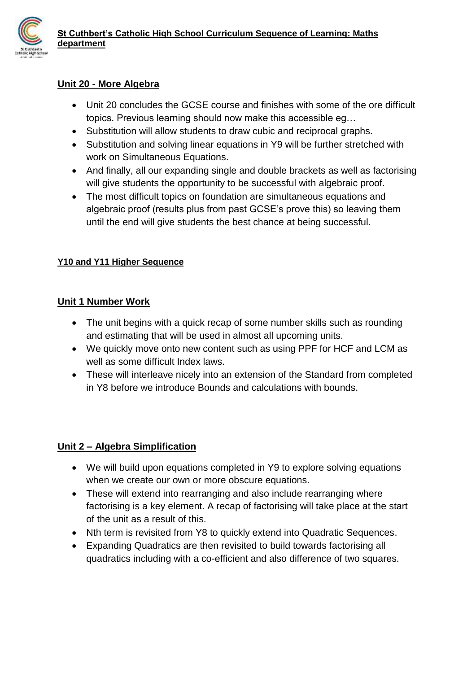

## **Unit 20 - More Algebra**

- Unit 20 concludes the GCSE course and finishes with some of the ore difficult topics. Previous learning should now make this accessible eg…
- Substitution will allow students to draw cubic and reciprocal graphs.
- Substitution and solving linear equations in Y9 will be further stretched with work on Simultaneous Equations.
- And finally, all our expanding single and double brackets as well as factorising will give students the opportunity to be successful with algebraic proof.
- The most difficult topics on foundation are simultaneous equations and algebraic proof (results plus from past GCSE's prove this) so leaving them until the end will give students the best chance at being successful.

### **Y10 and Y11 Higher Sequence**

### **Unit 1 Number Work**

- The unit begins with a quick recap of some number skills such as rounding and estimating that will be used in almost all upcoming units.
- We quickly move onto new content such as using PPF for HCF and LCM as well as some difficult Index laws.
- These will interleave nicely into an extension of the Standard from completed in Y8 before we introduce Bounds and calculations with bounds.

## **Unit 2 – Algebra Simplification**

- We will build upon equations completed in Y9 to explore solving equations when we create our own or more obscure equations.
- These will extend into rearranging and also include rearranging where factorising is a key element. A recap of factorising will take place at the start of the unit as a result of this.
- Nth term is revisited from Y8 to quickly extend into Quadratic Sequences.
- Expanding Quadratics are then revisited to build towards factorising all quadratics including with a co-efficient and also difference of two squares.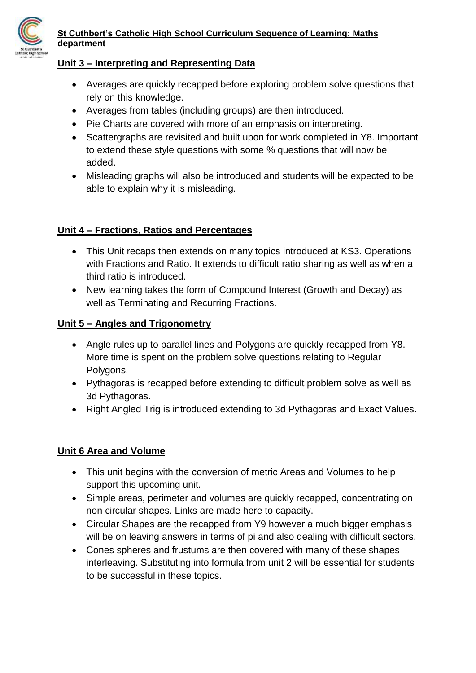

#### **Unit 3 – Interpreting and Representing Data**

- Averages are quickly recapped before exploring problem solve questions that rely on this knowledge.
- Averages from tables (including groups) are then introduced.
- Pie Charts are covered with more of an emphasis on interpreting.
- Scattergraphs are revisited and built upon for work completed in Y8. Important to extend these style questions with some % questions that will now be added.
- Misleading graphs will also be introduced and students will be expected to be able to explain why it is misleading.

### **Unit 4 – Fractions, Ratios and Percentages**

- This Unit recaps then extends on many topics introduced at KS3. Operations with Fractions and Ratio. It extends to difficult ratio sharing as well as when a third ratio is introduced.
- New learning takes the form of Compound Interest (Growth and Decay) as well as Terminating and Recurring Fractions.

### **Unit 5 – Angles and Trigonometry**

- Angle rules up to parallel lines and Polygons are quickly recapped from Y8. More time is spent on the problem solve questions relating to Regular Polygons.
- Pythagoras is recapped before extending to difficult problem solve as well as 3d Pythagoras.
- Right Angled Trig is introduced extending to 3d Pythagoras and Exact Values.

### **Unit 6 Area and Volume**

- This unit begins with the conversion of metric Areas and Volumes to help support this upcoming unit.
- Simple areas, perimeter and volumes are quickly recapped, concentrating on non circular shapes. Links are made here to capacity.
- Circular Shapes are the recapped from Y9 however a much bigger emphasis will be on leaving answers in terms of pi and also dealing with difficult sectors.
- Cones spheres and frustums are then covered with many of these shapes interleaving. Substituting into formula from unit 2 will be essential for students to be successful in these topics.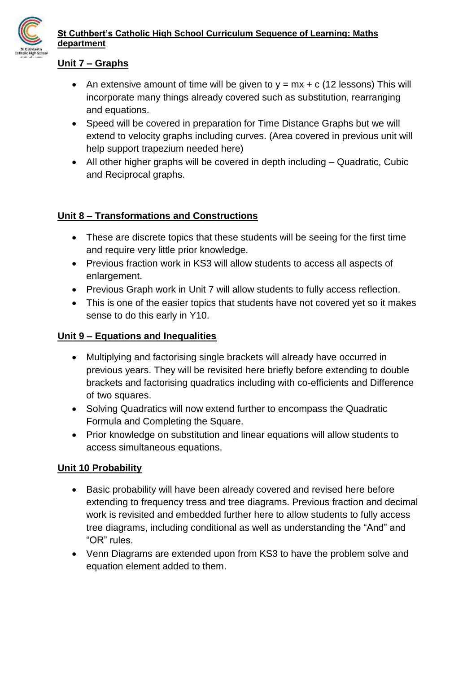

### **Unit 7 – Graphs**

- An extensive amount of time will be given to  $y = mx + c$  (12 lessons) This will incorporate many things already covered such as substitution, rearranging and equations.
- Speed will be covered in preparation for Time Distance Graphs but we will extend to velocity graphs including curves. (Area covered in previous unit will help support trapezium needed here)
- All other higher graphs will be covered in depth including Quadratic, Cubic and Reciprocal graphs.

### **Unit 8 – Transformations and Constructions**

- These are discrete topics that these students will be seeing for the first time and require very little prior knowledge.
- Previous fraction work in KS3 will allow students to access all aspects of enlargement.
- Previous Graph work in Unit 7 will allow students to fully access reflection.
- This is one of the easier topics that students have not covered yet so it makes sense to do this early in Y10.

### **Unit 9 – Equations and Inequalities**

- Multiplying and factorising single brackets will already have occurred in previous years. They will be revisited here briefly before extending to double brackets and factorising quadratics including with co-efficients and Difference of two squares.
- Solving Quadratics will now extend further to encompass the Quadratic Formula and Completing the Square.
- Prior knowledge on substitution and linear equations will allow students to access simultaneous equations.

### **Unit 10 Probability**

- Basic probability will have been already covered and revised here before extending to frequency tress and tree diagrams. Previous fraction and decimal work is revisited and embedded further here to allow students to fully access tree diagrams, including conditional as well as understanding the "And" and "OR" rules.
- Venn Diagrams are extended upon from KS3 to have the problem solve and equation element added to them.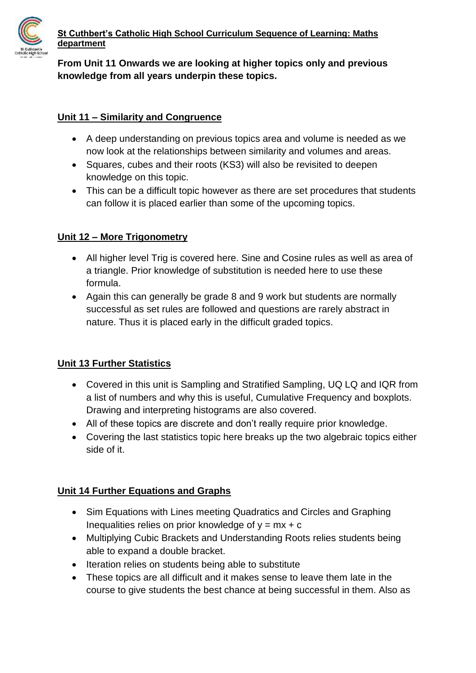

## **From Unit 11 Onwards we are looking at higher topics only and previous knowledge from all years underpin these topics.**

### **Unit 11 – Similarity and Congruence**

- A deep understanding on previous topics area and volume is needed as we now look at the relationships between similarity and volumes and areas.
- Squares, cubes and their roots (KS3) will also be revisited to deepen knowledge on this topic.
- This can be a difficult topic however as there are set procedures that students can follow it is placed earlier than some of the upcoming topics.

### **Unit 12 – More Trigonometry**

- All higher level Trig is covered here. Sine and Cosine rules as well as area of a triangle. Prior knowledge of substitution is needed here to use these formula.
- Again this can generally be grade 8 and 9 work but students are normally successful as set rules are followed and questions are rarely abstract in nature. Thus it is placed early in the difficult graded topics.

## **Unit 13 Further Statistics**

- Covered in this unit is Sampling and Stratified Sampling, UQ LQ and IQR from a list of numbers and why this is useful, Cumulative Frequency and boxplots. Drawing and interpreting histograms are also covered.
- All of these topics are discrete and don't really require prior knowledge.
- Covering the last statistics topic here breaks up the two algebraic topics either side of it.

## **Unit 14 Further Equations and Graphs**

- Sim Equations with Lines meeting Quadratics and Circles and Graphing Inequalities relies on prior knowledge of  $y = mx + c$
- Multiplying Cubic Brackets and Understanding Roots relies students being able to expand a double bracket.
- Iteration relies on students being able to substitute
- These topics are all difficult and it makes sense to leave them late in the course to give students the best chance at being successful in them. Also as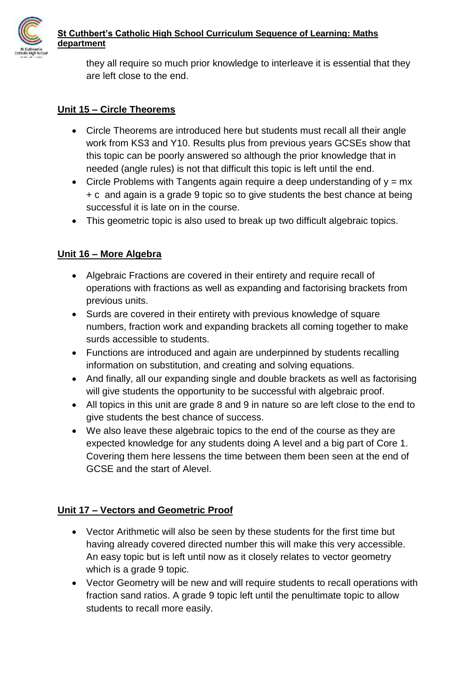

they all require so much prior knowledge to interleave it is essential that they are left close to the end.

## **Unit 15 – Circle Theorems**

- Circle Theorems are introduced here but students must recall all their angle work from KS3 and Y10. Results plus from previous years GCSEs show that this topic can be poorly answered so although the prior knowledge that in needed (angle rules) is not that difficult this topic is left until the end.
- Circle Problems with Tangents again require a deep understanding of  $y = mx$ + c and again is a grade 9 topic so to give students the best chance at being successful it is late on in the course.
- This geometric topic is also used to break up two difficult algebraic topics.

# **Unit 16 – More Algebra**

- Algebraic Fractions are covered in their entirety and require recall of operations with fractions as well as expanding and factorising brackets from previous units.
- Surds are covered in their entirety with previous knowledge of square numbers, fraction work and expanding brackets all coming together to make surds accessible to students.
- Functions are introduced and again are underpinned by students recalling information on substitution, and creating and solving equations.
- And finally, all our expanding single and double brackets as well as factorising will give students the opportunity to be successful with algebraic proof.
- All topics in this unit are grade 8 and 9 in nature so are left close to the end to give students the best chance of success.
- We also leave these algebraic topics to the end of the course as they are expected knowledge for any students doing A level and a big part of Core 1. Covering them here lessens the time between them been seen at the end of GCSE and the start of Alevel.

# **Unit 17 – Vectors and Geometric Proof**

- Vector Arithmetic will also be seen by these students for the first time but having already covered directed number this will make this very accessible. An easy topic but is left until now as it closely relates to vector geometry which is a grade 9 topic.
- Vector Geometry will be new and will require students to recall operations with fraction sand ratios. A grade 9 topic left until the penultimate topic to allow students to recall more easily.